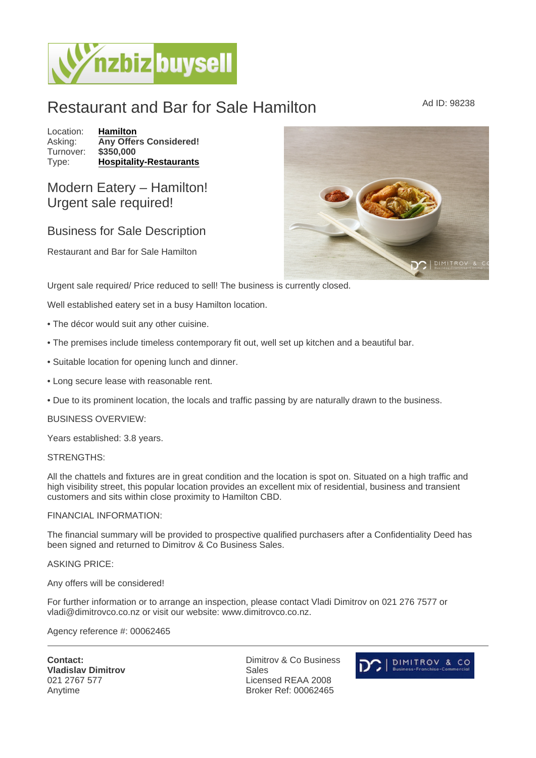# Restaurant and Bar for Sale Hamilton Ad ID: 98238

Location: [Hamilton](https://www.nzbizbuysell.co.nz/businesses-for-sale/location/Hamilton) Asking: Any Offers Considered!<br>Turnover: \$350.000 Turnover: Type: [Hospitality-Restaurants](https://www.nzbizbuysell.co.nz/businesses-for-sale/Restaurants/New-Zealand)

Modern Eatery – Hamilton! Urgent sale required!

Business for Sale Description

Restaurant and Bar for Sale Hamilton

Urgent sale required/ Price reduced to sell! The business is currently closed.

Well established eatery set in a busy Hamilton location.

- The décor would suit any other cuisine.
- The premises include timeless contemporary fit out, well set up kitchen and a beautiful bar.
- Suitable location for opening lunch and dinner.
- Long secure lease with reasonable rent.
- Due to its prominent location, the locals and traffic passing by are naturally drawn to the business.

BUSINESS OVERVIEW:

Years established: 3.8 years.

## STRENGTHS:

All the chattels and fixtures are in great condition and the location is spot on. Situated on a high traffic and high visibility street, this popular location provides an excellent mix of residential, business and transient customers and sits within close proximity to Hamilton CBD.

### FINANCIAL INFORMATION:

The financial summary will be provided to prospective qualified purchasers after a Confidentiality Deed has been signed and returned to Dimitrov & Co Business Sales.

### ASKING PRICE:

### Any offers will be considered!

For further information or to arrange an inspection, please contact Vladi Dimitrov on 021 276 7577 or vladi@dimitrovco.co.nz or visit our website: www.dimitrovco.co.nz.

### Agency reference #: 00062465

Contact: Vladislav Dimitrov 021 2767 577 Anytime

Dimitrov & Co Business Sales Licensed REAA 2008 Broker Ref: 00062465